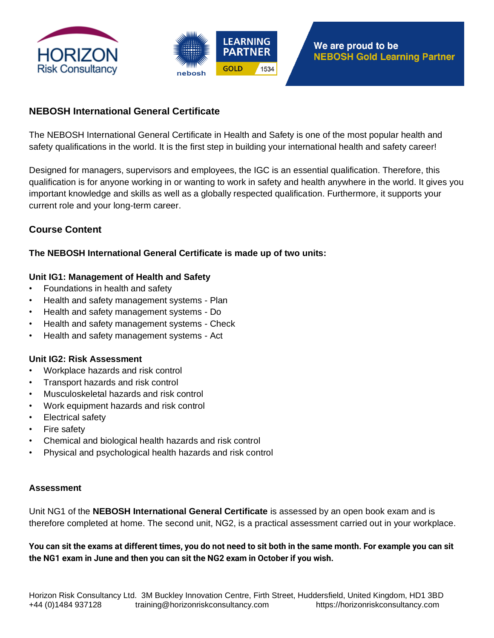



# **NEBOSH International General Certificate**

The NEBOSH International General Certificate in Health and Safety is one of the most popular health and safety qualifications in the world. It is the first step in building your international health and safety career!

Designed for managers, supervisors and employees, the IGC is an essential qualification. Therefore, this qualification is for anyone working in or wanting to work in safety and health anywhere in the world. It gives you important knowledge and skills as well as a globally respected qualification. Furthermore, it supports your current role and your long-term career.

# **Course Content**

## **The NEBOSH International General Certificate is made up of two units:**

## **Unit IG1: Management of Health and Safety**

- Foundations in health and safety
- Health and safety management systems Plan
- Health and safety management systems Do
- Health and safety management systems Check
- Health and safety management systems Act

#### **Unit IG2: Risk Assessment**

- Workplace hazards and risk control
- Transport hazards and risk control
- Musculoskeletal hazards and risk control
- Work equipment hazards and risk control
- Electrical safety
- Fire safety
- Chemical and biological health hazards and risk control
- Physical and psychological health hazards and risk control

#### **Assessment**

Unit NG1 of the **NEBOSH International General Certificate** is assessed by an open book exam and is therefore completed at home. The second unit, NG2, is a practical assessment carried out in your workplace.

**You can sit the exams at different times, you do not need to sit both in the same month. For example you can sit the NG1 exam in June and then you can sit the NG2 exam in October if you wish.**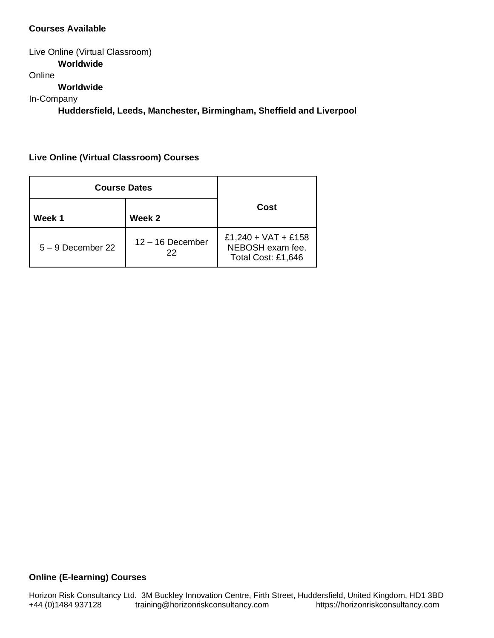### **Courses Available**

Live Online (Virtual Classroom) **Worldwide** Online **Worldwide** In-Company **Huddersfield, Leeds, Manchester, Birmingham, Sheffield and Liverpool**

**Live Online (Virtual Classroom) Courses**

| <b>Course Dates</b> |                          |                                                               |
|---------------------|--------------------------|---------------------------------------------------------------|
| Week 1              | Week 2                   | Cost                                                          |
| $5 - 9$ December 22 | $12 - 16$ December<br>22 | £1,240 + VAT + £158<br>NEBOSH exam fee.<br>Total Cost: £1,646 |

#### **Online (E-learning) Courses**